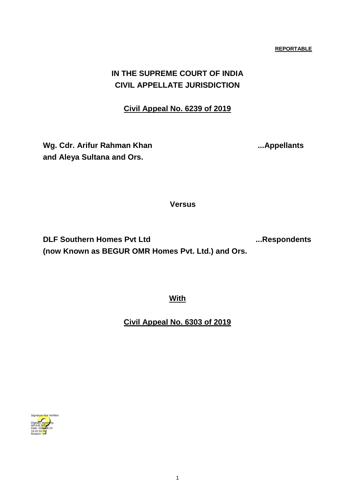# **IN THE SUPREME COURT OF INDIA CIVIL APPELLATE JURISDICTION**

# **Civil Appeal No. 6239 of 2019**

Wg. Cdr. Arifur Rahman Khan **... Appellants and Aleya Sultana and Ors.** 

 **Versus**

**DLF Southern Homes Pvt Ltd ...Respondents (now Known as BEGUR OMR Homes Pvt. Ltd.) and Ors.**

**With** 

**Civil Appeal No. 6303 of 2019**

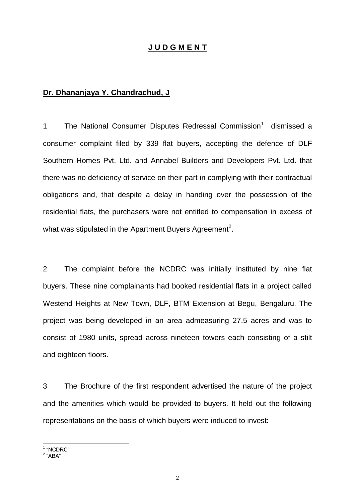## **J U D G M E N T**

## **Dr. Dhananjaya Y. Chandrachud, J**

1 The National Consumer Disputes Redressal Commission<sup>1</sup> dismissed a consumer complaint filed by 339 flat buyers, accepting the defence of DLF Southern Homes Pvt. Ltd. and Annabel Builders and Developers Pvt. Ltd. that there was no deficiency of service on their part in complying with their contractual obligations and, that despite a delay in handing over the possession of the residential flats, the purchasers were not entitled to compensation in excess of what was stipulated in the Apartment Buyers Agreement<sup>2</sup>.

2 The complaint before the NCDRC was initially instituted by nine flat buyers. These nine complainants had booked residential flats in a project called Westend Heights at New Town, DLF, BTM Extension at Begu, Bengaluru. The project was being developed in an area admeasuring 27.5 acres and was to consist of 1980 units, spread across nineteen towers each consisting of a stilt and eighteen floors.

3 The Brochure of the first respondent advertised the nature of the project and the amenities which would be provided to buyers. It held out the following representations on the basis of which buyers were induced to invest:

<sup>&</sup>lt;sup>1</sup> "NCDRC"<br><sup>2</sup> "ABA"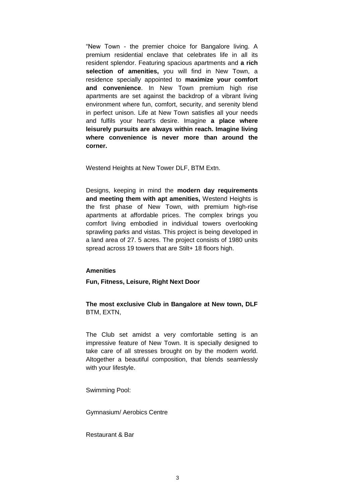"New Town - the premier choice for Bangalore living. A premium residential enclave that celebrates life in all its resident splendor. Featuring spacious apartments and **a rich selection of amenities,** you will find in New Town, a residence specially appointed to **maximize your comfort and convenience**. In New Town premium high rise apartments are set against the backdrop of a vibrant living environment where fun, comfort, security, and serenity blend in perfect unison. Life at New Town satisfies all your needs and fulfils your heart's desire. Imagine **a place where leisurely pursuits are always within reach. Imagine living where convenience is never more than around the corner.**

Westend Heights at New Tower DLF, BTM Extn.

Designs, keeping in mind the **modern day requirements and meeting them with apt amenities,** Westend Heights is the first phase of New Town, with premium high-rise apartments at affordable prices. The complex brings you comfort living embodied in individual towers overlooking sprawling parks and vistas. This project is being developed in a land area of 27. 5 acres. The project consists of 1980 units spread across 19 towers that are Stilt+ 18 floors high.

#### **Amenities**

**Fun, Fitness, Leisure, Right Next Door**

**The most exclusive Club in Bangalore at New town, DLF** BTM, EXTN,

The Club set amidst a very comfortable setting is an impressive feature of New Town. It is specially designed to take care of all stresses brought on by the modern world. Altogether a beautiful composition, that blends seamlessly with your lifestyle.

Swimming Pool:

Gymnasium/ Aerobics Centre

Restaurant & Bar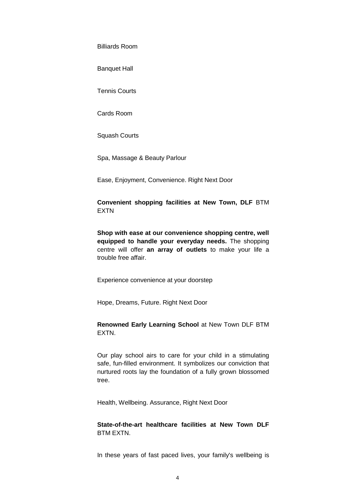Billiards Room

Banquet Hall

Tennis Courts

Cards Room

Squash Courts

Spa, Massage & Beauty Parlour

Ease, Enjoyment, Convenience. Right Next Door

**Convenient shopping facilities at New Town, DLF** BTM EXTN

**Shop with ease at our convenience shopping centre, well equipped to handle your everyday needs.** The shopping centre will offer **an array of outlets** to make your life a trouble free affair.

Experience convenience at your doorstep

Hope, Dreams, Future. Right Next Door

**Renowned Early Learning School** at New Town DLF BTM EXTN.

Our play school airs to care for your child in a stimulating safe, fun-filled environment. It symbolizes our conviction that nurtured roots lay the foundation of a fully grown blossomed tree.

Health, Wellbeing. Assurance, Right Next Door

**State-of-the-art healthcare facilities at New Town DLF** BTM EXTN.

In these years of fast paced lives, your family's wellbeing is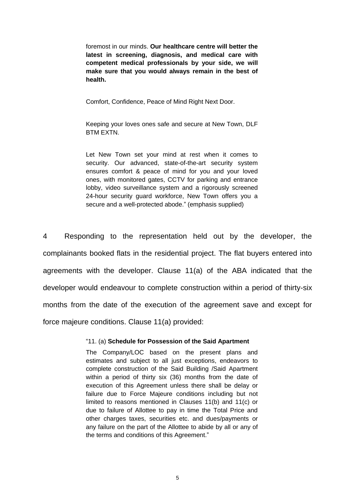foremost in our minds. **Our healthcare centre will better the latest in screening, diagnosis, and medical care with competent medical professionals by your side, we will make sure that you would always remain in the best of health.**

Comfort, Confidence, Peace of Mind Right Next Door.

Keeping your loves ones safe and secure at New Town, DLF BTM EXTN.

Let New Town set your mind at rest when it comes to security. Our advanced, state-of-the-art security system ensures comfort & peace of mind for you and your loved ones, with monitored gates, CCTV for parking and entrance lobby, video surveillance system and a rigorously screened 24-hour security guard workforce, New Town offers you a secure and a well-protected abode." (emphasis supplied)

4 Responding to the representation held out by the developer, the complainants booked flats in the residential project. The flat buyers entered into agreements with the developer. Clause 11(a) of the ABA indicated that the developer would endeavour to complete construction within a period of thirty-six months from the date of the execution of the agreement save and except for force majeure conditions. Clause 11(a) provided:

#### "11. (a) **Schedule for Possession of the Said Apartment**

The Company/LOC based on the present plans and estimates and subject to all just exceptions, endeavors to complete construction of the Said Building /Said Apartment within a period of thirty six (36) months from the date of execution of this Agreement unless there shall be delay or failure due to Force Majeure conditions including but not limited to reasons mentioned in Clauses 11(b) and 11(c) or due to failure of Allottee to pay in time the Total Price and other charges taxes, securities etc. and dues/payments or any failure on the part of the Allottee to abide by all or any of the terms and conditions of this Agreement."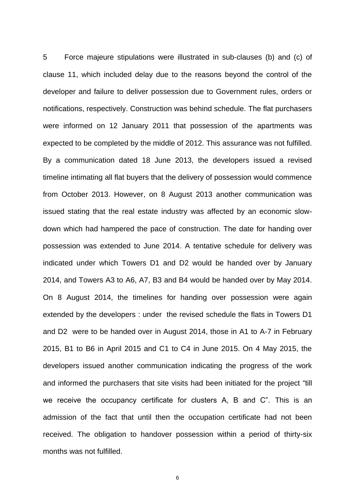5 Force majeure stipulations were illustrated in sub-clauses (b) and (c) of clause 11, which included delay due to the reasons beyond the control of the developer and failure to deliver possession due to Government rules, orders or notifications, respectively. Construction was behind schedule. The flat purchasers were informed on 12 January 2011 that possession of the apartments was expected to be completed by the middle of 2012. This assurance was not fulfilled. By a communication dated 18 June 2013, the developers issued a revised timeline intimating all flat buyers that the delivery of possession would commence from October 2013. However, on 8 August 2013 another communication was issued stating that the real estate industry was affected by an economic slowdown which had hampered the pace of construction. The date for handing over possession was extended to June 2014. A tentative schedule for delivery was indicated under which Towers D1 and D2 would be handed over by January 2014, and Towers A3 to A6, A7, B3 and B4 would be handed over by May 2014. On 8 August 2014, the timelines for handing over possession were again extended by the developers : under the revised schedule the flats in Towers D1 and D2 were to be handed over in August 2014, those in A1 to A-7 in February 2015, B1 to B6 in April 2015 and C1 to C4 in June 2015. On 4 May 2015, the developers issued another communication indicating the progress of the work and informed the purchasers that site visits had been initiated for the project "till we receive the occupancy certificate for clusters A, B and C". This is an admission of the fact that until then the occupation certificate had not been received. The obligation to handover possession within a period of thirty-six months was not fulfilled.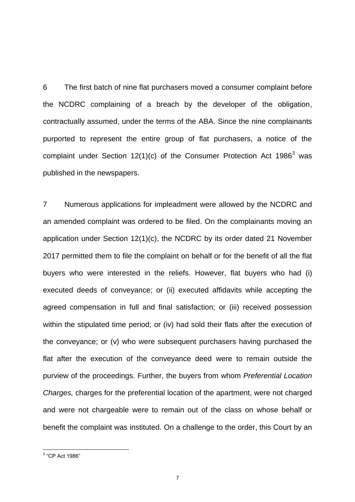6 The first batch of nine flat purchasers moved a consumer complaint before the NCDRC complaining of a breach by the developer of the obligation, contractually assumed, under the terms of the ABA. Since the nine complainants purported to represent the entire group of flat purchasers, a notice of the complaint under Section  $12(1)(c)$  of the Consumer Protection Act  $1986<sup>3</sup>$  was published in the newspapers.

7 Numerous applications for impleadment were allowed by the NCDRC and an amended complaint was ordered to be filed. On the complainants moving an application under Section 12(1)(c), the NCDRC by its order dated 21 November 2017 permitted them to file the complaint on behalf or for the benefit of all the flat buyers who were interested in the reliefs. However, flat buyers who had (i) executed deeds of conveyance; or (ii) executed affidavits while accepting the agreed compensation in full and final satisfaction; or (iii) received possession within the stipulated time period; or (iv) had sold their flats after the execution of the conveyance; or (v) who were subsequent purchasers having purchased the flat after the execution of the conveyance deed were to remain outside the purview of the proceedings. Further, the buyers from whom *Preferential Location Charges,* charges for the preferential location of the apartment, were not charged and were not chargeable were to remain out of the class on whose behalf or benefit the complaint was instituted. On a challenge to the order, this Court by an

 3 "CP Act 1986"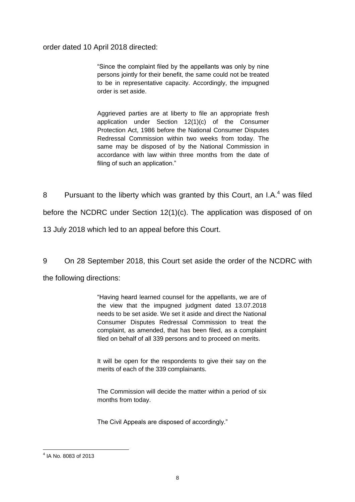order dated 10 April 2018 directed:

"Since the complaint filed by the appellants was only by nine persons jointly for their benefit, the same could not be treated to be in representative capacity. Accordingly, the impugned order is set aside.

Aggrieved parties are at liberty to file an appropriate fresh application under Section 12(1)(c) of the Consumer Protection Act, 1986 before the National Consumer Disputes Redressal Commission within two weeks from today. The same may be disposed of by the National Commission in accordance with law within three months from the date of filing of such an application."

8 Pursuant to the liberty which was granted by this Court, an I.A. $<sup>4</sup>$  was filed</sup> before the NCDRC under Section 12(1)(c). The application was disposed of on 13 July 2018 which led to an appeal before this Court.

9 On 28 September 2018, this Court set aside the order of the NCDRC with the following directions:

> "Having heard learned counsel for the appellants, we are of the view that the impugned judgment dated 13.07.2018 needs to be set aside. We set it aside and direct the National Consumer Disputes Redressal Commission to treat the complaint, as amended, that has been filed, as a complaint filed on behalf of all 339 persons and to proceed on merits.

> It will be open for the respondents to give their say on the merits of each of the 339 complainants.

> The Commission will decide the matter within a period of six months from today.

The Civil Appeals are disposed of accordingly."

 4 IA No. 8083 of 2013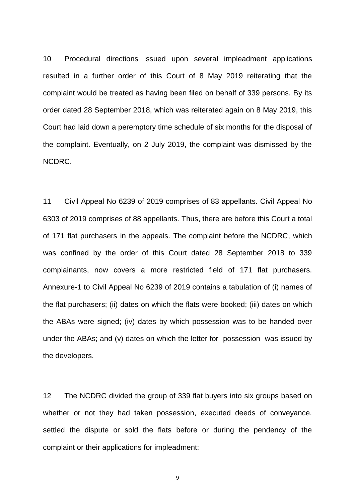10 Procedural directions issued upon several impleadment applications resulted in a further order of this Court of 8 May 2019 reiterating that the complaint would be treated as having been filed on behalf of 339 persons. By its order dated 28 September 2018, which was reiterated again on 8 May 2019, this Court had laid down a peremptory time schedule of six months for the disposal of the complaint. Eventually, on 2 July 2019, the complaint was dismissed by the NCDRC.

11 Civil Appeal No 6239 of 2019 comprises of 83 appellants. Civil Appeal No 6303 of 2019 comprises of 88 appellants. Thus, there are before this Court a total of 171 flat purchasers in the appeals. The complaint before the NCDRC, which was confined by the order of this Court dated 28 September 2018 to 339 complainants, now covers a more restricted field of 171 flat purchasers. Annexure-1 to Civil Appeal No 6239 of 2019 contains a tabulation of (i) names of the flat purchasers; (ii) dates on which the flats were booked; (iii) dates on which the ABAs were signed; (iv) dates by which possession was to be handed over under the ABAs; and (v) dates on which the letter for possession was issued by the developers.

12 The NCDRC divided the group of 339 flat buyers into six groups based on whether or not they had taken possession, executed deeds of conveyance, settled the dispute or sold the flats before or during the pendency of the complaint or their applications for impleadment: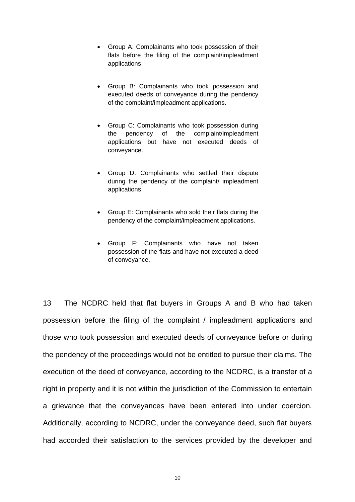- Group A: Complainants who took possession of their flats before the filing of the complaint/impleadment applications.
- Group B: Complainants who took possession and executed deeds of conveyance during the pendency of the complaint/impleadment applications.
- Group C: Complainants who took possession during the pendency of the complaint/impleadment applications but have not executed deeds of conveyance.
- Group D: Complainants who settled their dispute during the pendency of the complaint/ impleadment applications.
- Group E: Complainants who sold their flats during the pendency of the complaint/impleadment applications.
- Group F: Complainants who have not taken possession of the flats and have not executed a deed of conveyance.

13 The NCDRC held that flat buyers in Groups A and B who had taken possession before the filing of the complaint / impleadment applications and those who took possession and executed deeds of conveyance before or during the pendency of the proceedings would not be entitled to pursue their claims. The execution of the deed of conveyance, according to the NCDRC, is a transfer of a right in property and it is not within the jurisdiction of the Commission to entertain a grievance that the conveyances have been entered into under coercion. Additionally, according to NCDRC, under the conveyance deed, such flat buyers had accorded their satisfaction to the services provided by the developer and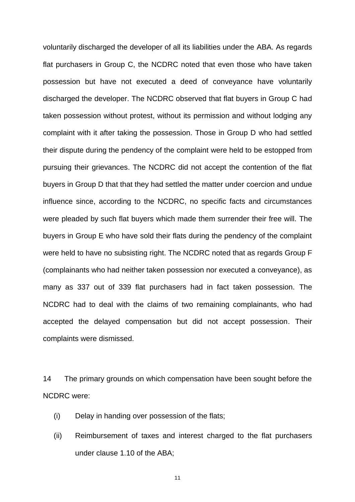voluntarily discharged the developer of all its liabilities under the ABA. As regards flat purchasers in Group C, the NCDRC noted that even those who have taken possession but have not executed a deed of conveyance have voluntarily discharged the developer. The NCDRC observed that flat buyers in Group C had taken possession without protest, without its permission and without lodging any complaint with it after taking the possession. Those in Group D who had settled their dispute during the pendency of the complaint were held to be estopped from pursuing their grievances. The NCDRC did not accept the contention of the flat buyers in Group D that that they had settled the matter under coercion and undue influence since, according to the NCDRC, no specific facts and circumstances were pleaded by such flat buyers which made them surrender their free will. The buyers in Group E who have sold their flats during the pendency of the complaint were held to have no subsisting right. The NCDRC noted that as regards Group F (complainants who had neither taken possession nor executed a conveyance), as many as 337 out of 339 flat purchasers had in fact taken possession. The NCDRC had to deal with the claims of two remaining complainants, who had accepted the delayed compensation but did not accept possession. Their complaints were dismissed.

14 The primary grounds on which compensation have been sought before the NCDRC were:

- (i) Delay in handing over possession of the flats;
- (ii) Reimbursement of taxes and interest charged to the flat purchasers under clause 1.10 of the ABA;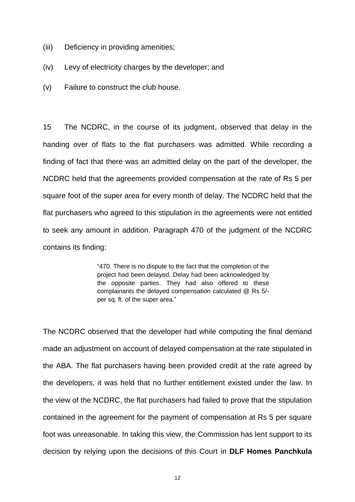- (iii) Deficiency in providing amenities;
- (iv) Levy of electricity charges by the developer; and
- (v) Failure to construct the club house.

15 The NCDRC, in the course of its judgment, observed that delay in the handing over of flats to the flat purchasers was admitted. While recording a finding of fact that there was an admitted delay on the part of the developer, the NCDRC held that the agreements provided compensation at the rate of Rs 5 per square foot of the super area for every month of delay. The NCDRC held that the flat purchasers who agreed to this stipulation in the agreements were not entitled to seek any amount in addition. Paragraph 470 of the judgment of the NCDRC contains its finding:

> "470. There is no dispute to the fact that the completion of the project had been delayed. Delay had been acknowledged by the opposite parties. They had also offered to these complainants the delayed compensation calculated @ Rs 5/ per sq. ft. of the super area."

The NCDRC observed that the developer had while computing the final demand made an adjustment on account of delayed compensation at the rate stipulated in the ABA. The flat purchasers having been provided credit at the rate agreed by the developers, it was held that no further entitlement existed under the law. In the view of the NCDRC, the flat purchasers had failed to prove that the stipulation contained in the agreement for the payment of compensation at Rs 5 per square foot was unreasonable. In taking this view, the Commission has lent support to its decision by relying upon the decisions of this Court in **DLF Homes Panchkula**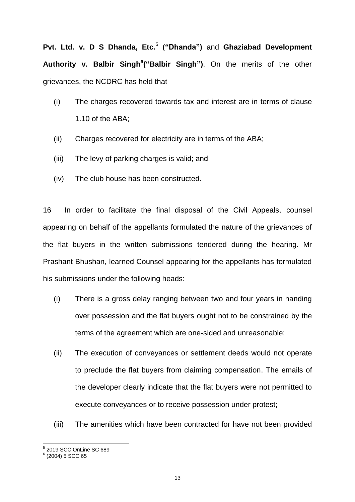**Pvt. Ltd. v. D S Dhanda, Etc.**<sup>5</sup> **("Dhanda")** and **Ghaziabad Development Authority v. Balbir Singh<sup>6</sup> ("Balbir Singh")**. On the merits of the other grievances, the NCDRC has held that

- (i) The charges recovered towards tax and interest are in terms of clause 1.10 of the ABA;
- (ii) Charges recovered for electricity are in terms of the ABA;
- (iii) The levy of parking charges is valid; and
- (iv) The club house has been constructed.

16 In order to facilitate the final disposal of the Civil Appeals, counsel appearing on behalf of the appellants formulated the nature of the grievances of the flat buyers in the written submissions tendered during the hearing. Mr Prashant Bhushan, learned Counsel appearing for the appellants has formulated his submissions under the following heads:

- (i) There is a gross delay ranging between two and four years in handing over possession and the flat buyers ought not to be constrained by the terms of the agreement which are one-sided and unreasonable;
- (ii) The execution of conveyances or settlement deeds would not operate to preclude the flat buyers from claiming compensation. The emails of the developer clearly indicate that the flat buyers were not permitted to execute conveyances or to receive possession under protest;
- (iii) The amenities which have been contracted for have not been provided

<sup>&</sup>lt;sub>5</sub><br><sup>5</sup> 2019 SCC OnLine SC 689<br><sup>6</sup> (2004) 5 SCC 65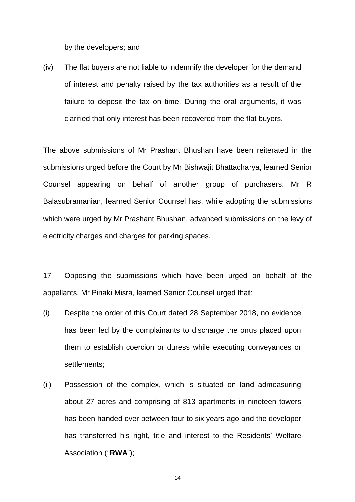by the developers; and

(iv) The flat buyers are not liable to indemnify the developer for the demand of interest and penalty raised by the tax authorities as a result of the failure to deposit the tax on time. During the oral arguments, it was clarified that only interest has been recovered from the flat buyers.

The above submissions of Mr Prashant Bhushan have been reiterated in the submissions urged before the Court by Mr Bishwajit Bhattacharya, learned Senior Counsel appearing on behalf of another group of purchasers. Mr R Balasubramanian, learned Senior Counsel has, while adopting the submissions which were urged by Mr Prashant Bhushan, advanced submissions on the levy of electricity charges and charges for parking spaces.

17 Opposing the submissions which have been urged on behalf of the appellants, Mr Pinaki Misra, learned Senior Counsel urged that:

- (i) Despite the order of this Court dated 28 September 2018, no evidence has been led by the complainants to discharge the onus placed upon them to establish coercion or duress while executing conveyances or settlements;
- (ii) Possession of the complex, which is situated on land admeasuring about 27 acres and comprising of 813 apartments in nineteen towers has been handed over between four to six years ago and the developer has transferred his right, title and interest to the Residents' Welfare Association ("**RWA**");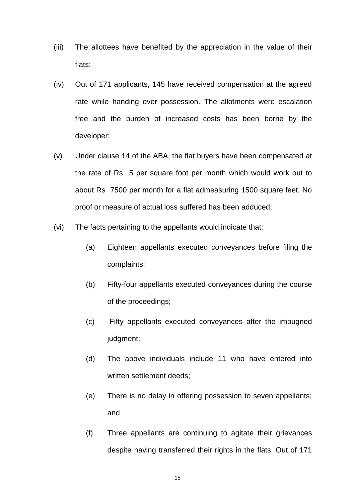- (iii) The allottees have benefited by the appreciation in the value of their flats;
- (iv) Out of 171 applicants, 145 have received compensation at the agreed rate while handing over possession. The allotments were escalation free and the burden of increased costs has been borne by the developer;
- (v) Under clause 14 of the ABA, the flat buyers have been compensated at the rate of Rs 5 per square foot per month which would work out to about Rs 7500 per month for a flat admeasuring 1500 square feet. No proof or measure of actual loss suffered has been adduced;
- (vi) The facts pertaining to the appellants would indicate that:
	- (a) Eighteen appellants executed conveyances before filing the complaints;
	- (b) Fifty-four appellants executed conveyances during the course of the proceedings;
	- (c) Fifty appellants executed conveyances after the impugned judgment;
	- (d) The above individuals include 11 who have entered into written settlement deeds;
	- (e) There is no delay in offering possession to seven appellants; and
	- (f) Three appellants are continuing to agitate their grievances despite having transferred their rights in the flats. Out of 171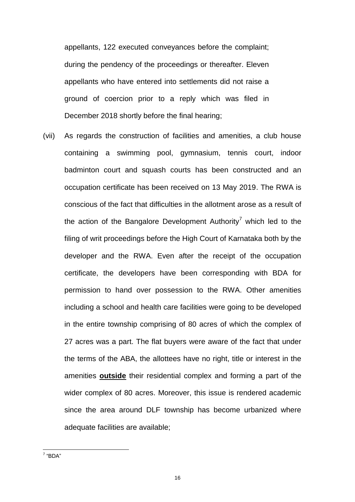appellants, 122 executed conveyances before the complaint; during the pendency of the proceedings or thereafter. Eleven appellants who have entered into settlements did not raise a ground of coercion prior to a reply which was filed in December 2018 shortly before the final hearing;

(vii) As regards the construction of facilities and amenities, a club house containing a swimming pool, gymnasium, tennis court, indoor badminton court and squash courts has been constructed and an occupation certificate has been received on 13 May 2019. The RWA is conscious of the fact that difficulties in the allotment arose as a result of the action of the Bangalore Development Authority<sup>7</sup> which led to the filing of writ proceedings before the High Court of Karnataka both by the developer and the RWA. Even after the receipt of the occupation certificate, the developers have been corresponding with BDA for permission to hand over possession to the RWA. Other amenities including a school and health care facilities were going to be developed in the entire township comprising of 80 acres of which the complex of 27 acres was a part. The flat buyers were aware of the fact that under the terms of the ABA, the allottees have no right, title or interest in the amenities **outside** their residential complex and forming a part of the wider complex of 80 acres. Moreover, this issue is rendered academic since the area around DLF township has become urbanized where adequate facilities are available;

<sup>&</sup>lt;sup>7</sup> "BDA"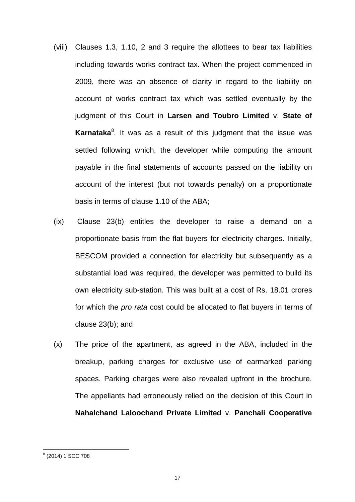- (viii) Clauses 1.3, 1.10, 2 and 3 require the allottees to bear tax liabilities including towards works contract tax. When the project commenced in 2009, there was an absence of clarity in regard to the liability on account of works contract tax which was settled eventually by the judgment of this Court in **Larsen and Toubro Limited** v. **State of**  Karnataka<sup>8</sup>. It was as a result of this judgment that the issue was settled following which, the developer while computing the amount payable in the final statements of accounts passed on the liability on account of the interest (but not towards penalty) on a proportionate basis in terms of clause 1.10 of the ABA;
- (ix) Clause 23(b) entitles the developer to raise a demand on a proportionate basis from the flat buyers for electricity charges. Initially, BESCOM provided a connection for electricity but subsequently as a substantial load was required, the developer was permitted to build its own electricity sub-station. This was built at a cost of Rs. 18.01 crores for which the *pro rata* cost could be allocated to flat buyers in terms of clause 23(b); and
- (x) The price of the apartment, as agreed in the ABA, included in the breakup, parking charges for exclusive use of earmarked parking spaces. Parking charges were also revealed upfront in the brochure. The appellants had erroneously relied on the decision of this Court in **Nahalchand Laloochand Private Limited** v. **Panchali Cooperative**

<sup>&</sup>lt;u>。</u><br><sup>8</sup> (2014) 1 SCC 708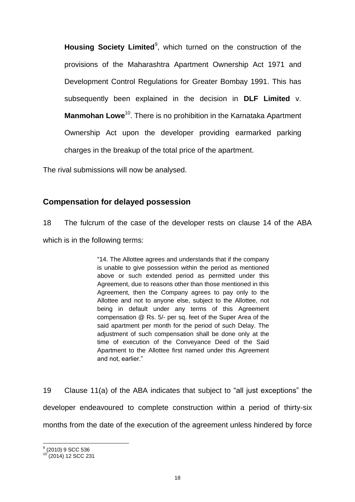Housing Society Limited<sup>9</sup>, which turned on the construction of the provisions of the Maharashtra Apartment Ownership Act 1971 and Development Control Regulations for Greater Bombay 1991. This has subsequently been explained in the decision in **DLF Limited** v. **Manmohan Lowe**<sup>10</sup>. There is no prohibition in the Karnataka Apartment Ownership Act upon the developer providing earmarked parking charges in the breakup of the total price of the apartment.

The rival submissions will now be analysed.

# **Compensation for delayed possession**

18 The fulcrum of the case of the developer rests on clause 14 of the ABA which is in the following terms:

> "14. The Allottee agrees and understands that if the company is unable to give possession within the period as mentioned above or such extended period as permitted under this Agreement, due to reasons other than those mentioned in this Agreement, then the Company agrees to pay only to the Allottee and not to anyone else, subject to the Allottee, not being in default under any terms of this Agreement compensation @ Rs. 5/- per sq. feet of the Super Area of the said apartment per month for the period of such Delay. The adjustment of such compensation shall be done only at the time of execution of the Conveyance Deed of the Said Apartment to the Allottee first named under this Agreement and not, earlier."

19 Clause 11(a) of the ABA indicates that subject to "all just exceptions" the developer endeavoured to complete construction within a period of thirty-six months from the date of the execution of the agreement unless hindered by force

 $\frac{9}{2}$ (2010) 9 SCC 536

 $(2014)$  12 SCC 231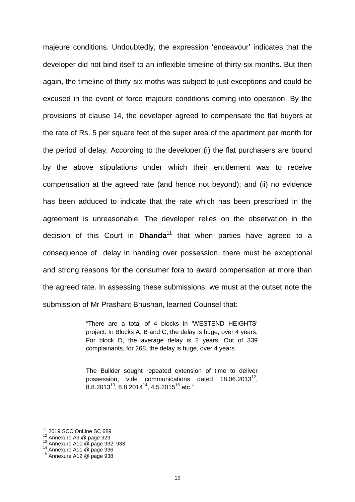majeure conditions. Undoubtedly, the expression "endeavour" indicates that the developer did not bind itself to an inflexible timeline of thirty-six months. But then again, the timeline of thirty-six moths was subject to just exceptions and could be excused in the event of force majeure conditions coming into operation. By the provisions of clause 14, the developer agreed to compensate the flat buyers at the rate of Rs. 5 per square feet of the super area of the apartment per month for the period of delay. According to the developer (i) the flat purchasers are bound by the above stipulations under which their entitlement was to receive compensation at the agreed rate (and hence not beyond); and (ii) no evidence has been adduced to indicate that the rate which has been prescribed in the agreement is unreasonable. The developer relies on the observation in the decision of this Court in **Dhanda**<sup>11</sup> that when parties have agreed to a consequence of delay in handing over possession, there must be exceptional and strong reasons for the consumer fora to award compensation at more than the agreed rate. In assessing these submissions, we must at the outset note the submission of Mr Prashant Bhushan, learned Counsel that:

> "There are a total of 4 blocks in "WESTEND HEIGHTS" project. In Blocks A, B and C, the delay is huge, over 4 years. For block D, the average delay is 2 years. Out of 339 complainants, for 268, the delay is huge, over 4 years.

> The Builder sought repeated extension of time to deliver possession, vide communications dated  $18.06.2013^{12}$ , 8.8.2013<sup>13</sup>, 8.8.2014<sup>14</sup>, 4.5.2015<sup>15</sup> etc."

 $\overline{a}$ 

<sup>11</sup> 2019 SCC OnLine SC 689

<sup>12</sup> Annexure A9 @ page 929

<sup>13</sup> Annexure A10 @ page 932, 933

<sup>&</sup>lt;sup>14</sup> Annexure A11 @ page 936

<sup>15</sup> Annexure A12 @ page 938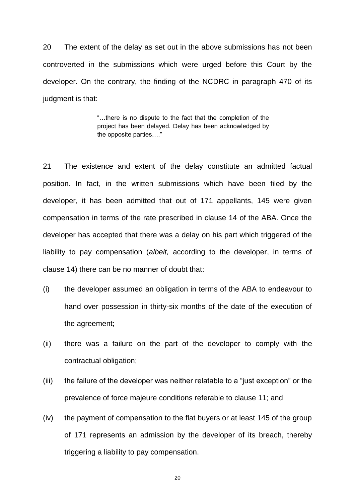20 The extent of the delay as set out in the above submissions has not been controverted in the submissions which were urged before this Court by the developer. On the contrary, the finding of the NCDRC in paragraph 470 of its judgment is that:

> "…there is no dispute to the fact that the completion of the project has been delayed. Delay has been acknowledged by the opposite parties…."

21 The existence and extent of the delay constitute an admitted factual position. In fact, in the written submissions which have been filed by the developer, it has been admitted that out of 171 appellants, 145 were given compensation in terms of the rate prescribed in clause 14 of the ABA. Once the developer has accepted that there was a delay on his part which triggered of the liability to pay compensation (*albeit,* according to the developer, in terms of clause 14) there can be no manner of doubt that:

- (i) the developer assumed an obligation in terms of the ABA to endeavour to hand over possession in thirty-six months of the date of the execution of the agreement;
- (ii) there was a failure on the part of the developer to comply with the contractual obligation;
- (iii) the failure of the developer was neither relatable to a "just exception" or the prevalence of force majeure conditions referable to clause 11; and
- (iv) the payment of compensation to the flat buyers or at least 145 of the group of 171 represents an admission by the developer of its breach, thereby triggering a liability to pay compensation.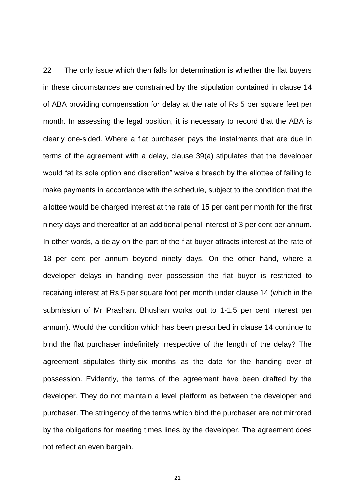22 The only issue which then falls for determination is whether the flat buyers in these circumstances are constrained by the stipulation contained in clause 14 of ABA providing compensation for delay at the rate of Rs 5 per square feet per month. In assessing the legal position, it is necessary to record that the ABA is clearly one-sided. Where a flat purchaser pays the instalments that are due in terms of the agreement with a delay, clause 39(a) stipulates that the developer would "at its sole option and discretion" waive a breach by the allottee of failing to make payments in accordance with the schedule, subject to the condition that the allottee would be charged interest at the rate of 15 per cent per month for the first ninety days and thereafter at an additional penal interest of 3 per cent per annum. In other words, a delay on the part of the flat buyer attracts interest at the rate of 18 per cent per annum beyond ninety days. On the other hand, where a developer delays in handing over possession the flat buyer is restricted to receiving interest at Rs 5 per square foot per month under clause 14 (which in the submission of Mr Prashant Bhushan works out to 1-1.5 per cent interest per annum). Would the condition which has been prescribed in clause 14 continue to bind the flat purchaser indefinitely irrespective of the length of the delay? The agreement stipulates thirty-six months as the date for the handing over of possession. Evidently, the terms of the agreement have been drafted by the developer. They do not maintain a level platform as between the developer and purchaser. The stringency of the terms which bind the purchaser are not mirrored by the obligations for meeting times lines by the developer. The agreement does not reflect an even bargain.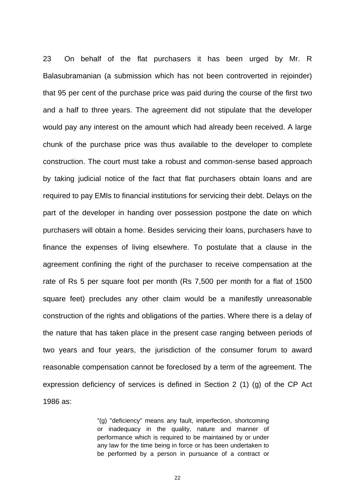23 On behalf of the flat purchasers it has been urged by Mr. R Balasubramanian (a submission which has not been controverted in rejoinder) that 95 per cent of the purchase price was paid during the course of the first two and a half to three years. The agreement did not stipulate that the developer would pay any interest on the amount which had already been received. A large chunk of the purchase price was thus available to the developer to complete construction. The court must take a robust and common-sense based approach by taking judicial notice of the fact that flat purchasers obtain loans and are required to pay EMIs to financial institutions for servicing their debt. Delays on the part of the developer in handing over possession postpone the date on which purchasers will obtain a home. Besides servicing their loans, purchasers have to finance the expenses of living elsewhere. To postulate that a clause in the agreement confining the right of the purchaser to receive compensation at the rate of Rs 5 per square foot per month (Rs 7,500 per month for a flat of 1500 square feet) precludes any other claim would be a manifestly unreasonable construction of the rights and obligations of the parties. Where there is a delay of the nature that has taken place in the present case ranging between periods of two years and four years, the jurisdiction of the consumer forum to award reasonable compensation cannot be foreclosed by a term of the agreement. The expression deficiency of services is defined in Section 2 (1) (g) of the CP Act 1986 as:

> "(g) "deficiency" means any fault, imperfection, shortcoming or inadequacy in the quality, nature and manner of performance which is required to be maintained by or under any law for the time being in force or has been undertaken to be performed by a person in pursuance of a contract or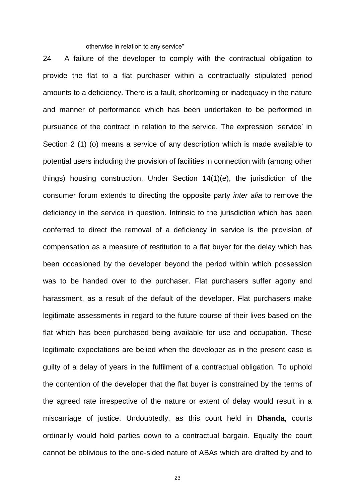otherwise in relation to any service"

24 A failure of the developer to comply with the contractual obligation to provide the flat to a flat purchaser within a contractually stipulated period amounts to a deficiency. There is a fault, shortcoming or inadequacy in the nature and manner of performance which has been undertaken to be performed in pursuance of the contract in relation to the service. The expression "service" in Section 2 (1) (o) means a service of any description which is made available to potential users including the provision of facilities in connection with (among other things) housing construction. Under Section 14(1)(e), the jurisdiction of the consumer forum extends to directing the opposite party *inter alia* to remove the deficiency in the service in question. Intrinsic to the jurisdiction which has been conferred to direct the removal of a deficiency in service is the provision of compensation as a measure of restitution to a flat buyer for the delay which has been occasioned by the developer beyond the period within which possession was to be handed over to the purchaser. Flat purchasers suffer agony and harassment, as a result of the default of the developer. Flat purchasers make legitimate assessments in regard to the future course of their lives based on the flat which has been purchased being available for use and occupation. These legitimate expectations are belied when the developer as in the present case is guilty of a delay of years in the fulfilment of a contractual obligation. To uphold the contention of the developer that the flat buyer is constrained by the terms of the agreed rate irrespective of the nature or extent of delay would result in a miscarriage of justice. Undoubtedly, as this court held in **Dhanda**, courts ordinarily would hold parties down to a contractual bargain. Equally the court cannot be oblivious to the one-sided nature of ABAs which are drafted by and to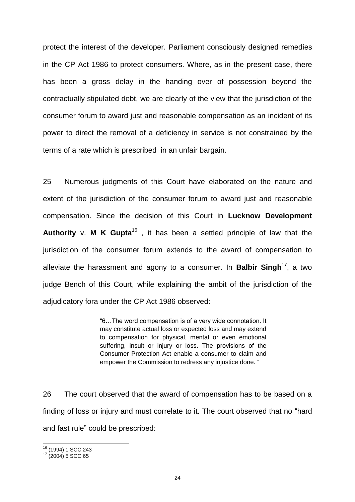protect the interest of the developer. Parliament consciously designed remedies in the CP Act 1986 to protect consumers. Where, as in the present case, there has been a gross delay in the handing over of possession beyond the contractually stipulated debt, we are clearly of the view that the jurisdiction of the consumer forum to award just and reasonable compensation as an incident of its power to direct the removal of a deficiency in service is not constrained by the terms of a rate which is prescribed in an unfair bargain.

25 Numerous judgments of this Court have elaborated on the nature and extent of the jurisdiction of the consumer forum to award just and reasonable compensation. Since the decision of this Court in **Lucknow Development Authority** v. **M K Gupta**<sup>16</sup> , it has been a settled principle of law that the jurisdiction of the consumer forum extends to the award of compensation to alleviate the harassment and agony to a consumer. In **Balbir Singh**<sup>17</sup>, a two judge Bench of this Court, while explaining the ambit of the jurisdiction of the adjudicatory fora under the CP Act 1986 observed:

> "6…The word compensation is of a very wide connotation. It may constitute actual loss or expected loss and may extend to compensation for physical, mental or even emotional suffering, insult or injury or loss. The provisions of the Consumer Protection Act enable a consumer to claim and empower the Commission to redress any injustice done. "

26 The court observed that the award of compensation has to be based on a finding of loss or injury and must correlate to it. The court observed that no "hard and fast rule" could be prescribed:

 $\overline{a}$ 

<sup>&</sup>lt;sup>16</sup> (1994) 1 SCC 243

 $17$  (2004) 5 SCC 65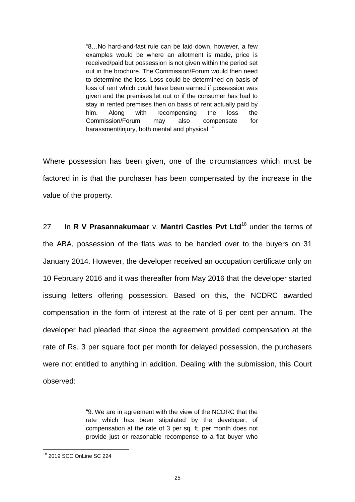"8…No hard-and-fast rule can be laid down, however, a few examples would be where an allotment is made, price is received/paid but possession is not given within the period set out in the brochure. The Commission/Forum would then need to determine the loss. Loss could be determined on basis of loss of rent which could have been earned if possession was given and the premises let out or if the consumer has had to stay in rented premises then on basis of rent actually paid by him. Along with recompensing the loss the Commission/Forum may also compensate for harassment/injury, both mental and physical. "

Where possession has been given, one of the circumstances which must be factored in is that the purchaser has been compensated by the increase in the value of the property.

27 In **R V Prasannakumaar** v. **Mantri Castles Pvt Ltd**<sup>18</sup> under the terms of the ABA, possession of the flats was to be handed over to the buyers on 31 January 2014. However, the developer received an occupation certificate only on 10 February 2016 and it was thereafter from May 2016 that the developer started issuing letters offering possession. Based on this, the NCDRC awarded compensation in the form of interest at the rate of 6 per cent per annum. The developer had pleaded that since the agreement provided compensation at the rate of Rs. 3 per square foot per month for delayed possession, the purchasers were not entitled to anything in addition. Dealing with the submission, this Court observed:

> "9. We are in agreement with the view of the NCDRC that the rate which has been stipulated by the developer, of compensation at the rate of 3 per sq. ft. per month does not provide just or reasonable recompense to a flat buyer who

 $\overline{a}$ <sup>18</sup> 2019 SCC OnLine SC 224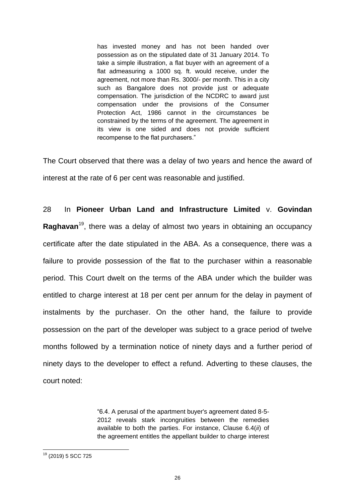has invested money and has not been handed over possession as on the stipulated date of 31 January 2014. To take a simple illustration, a flat buyer with an agreement of a flat admeasuring a 1000 sq. ft. would receive, under the agreement, not more than Rs. 3000/- per month. This in a city such as Bangalore does not provide just or adequate compensation. The jurisdiction of the NCDRC to award just compensation under the provisions of the Consumer Protection Act, 1986 cannot in the circumstances be constrained by the terms of the agreement. The agreement in its view is one sided and does not provide sufficient recompense to the flat purchasers."

The Court observed that there was a delay of two years and hence the award of interest at the rate of 6 per cent was reasonable and justified.

28 In **Pioneer Urban Land and Infrastructure Limited** v. **Govindan Raghavan**<sup>19</sup>, there was a delay of almost two years in obtaining an occupancy certificate after the date stipulated in the ABA. As a consequence, there was a failure to provide possession of the flat to the purchaser within a reasonable period. This Court dwelt on the terms of the ABA under which the builder was entitled to charge interest at 18 per cent per annum for the delay in payment of instalments by the purchaser. On the other hand, the failure to provide possession on the part of the developer was subject to a grace period of twelve months followed by a termination notice of ninety days and a further period of ninety days to the developer to effect a refund. Adverting to these clauses, the court noted:

> "6.4. A perusal of the apartment buyer's agreement dated 8-5- 2012 reveals stark incongruities between the remedies available to both the parties. For instance, Clause 6.4(*ii*) of the agreement entitles the appellant builder to charge interest

 $\overline{a}$ <sup>19</sup> (2019) 5 SCC 725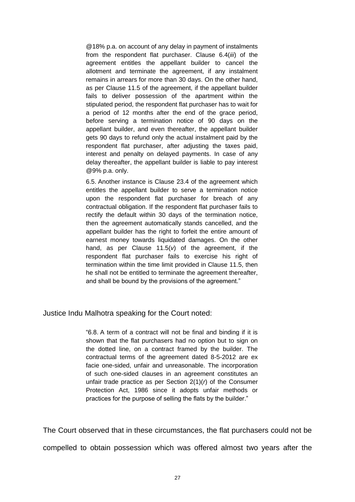@18% p.a. on account of any delay in payment of instalments from the respondent flat purchaser. Clause 6.4(*iii*) of the agreement entitles the appellant builder to cancel the allotment and terminate the agreement, if any instalment remains in arrears for more than 30 days. On the other hand, as per Clause 11.5 of the agreement, if the appellant builder fails to deliver possession of the apartment within the stipulated period, the respondent flat purchaser has to wait for a period of 12 months after the end of the grace period, before serving a termination notice of 90 days on the appellant builder, and even thereafter, the appellant builder gets 90 days to refund only the actual instalment paid by the respondent flat purchaser, after adjusting the taxes paid, interest and penalty on delayed payments. In case of any delay thereafter, the appellant builder is liable to pay interest @9% p.a. only.

6.5. Another instance is Clause 23.4 of the agreement which entitles the appellant builder to serve a termination notice upon the respondent flat purchaser for breach of any contractual obligation. If the respondent flat purchaser fails to rectify the default within 30 days of the termination notice, then the agreement automatically stands cancelled, and the appellant builder has the right to forfeit the entire amount of earnest money towards liquidated damages. On the other hand, as per Clause 11.5(*v*) of the agreement, if the respondent flat purchaser fails to exercise his right of termination within the time limit provided in Clause 11.5, then he shall not be entitled to terminate the agreement thereafter, and shall be bound by the provisions of the agreement."

Justice Indu Malhotra speaking for the Court noted:

"6.8. A term of a contract will not be final and binding if it is shown that the flat purchasers had no option but to sign on the dotted line, on a contract framed by the builder. The contractual terms of the agreement dated 8-5-2012 are ex facie one-sided, unfair and unreasonable. The incorporation of such one-sided clauses in an agreement constitutes an unfair trade practice as per Section 2(1)(*r*) of the Consumer Protection Act, 1986 since it adopts unfair methods or practices for the purpose of selling the flats by the builder."

The Court observed that in these circumstances, the flat purchasers could not be compelled to obtain possession which was offered almost two years after the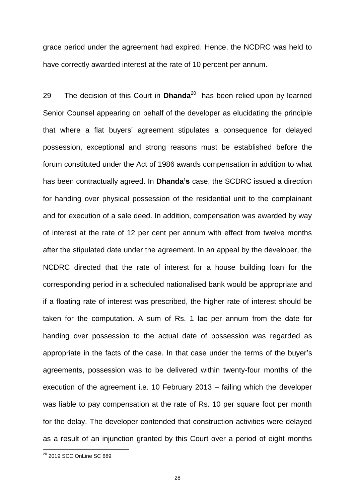grace period under the agreement had expired. Hence, the NCDRC was held to have correctly awarded interest at the rate of 10 percent per annum.

29 The decision of this Court in **Dhanda**<sup>20</sup> has been relied upon by learned Senior Counsel appearing on behalf of the developer as elucidating the principle that where a flat buyers" agreement stipulates a consequence for delayed possession, exceptional and strong reasons must be established before the forum constituted under the Act of 1986 awards compensation in addition to what has been contractually agreed. In **Dhanda's** case, the SCDRC issued a direction for handing over physical possession of the residential unit to the complainant and for execution of a sale deed. In addition, compensation was awarded by way of interest at the rate of 12 per cent per annum with effect from twelve months after the stipulated date under the agreement. In an appeal by the developer, the NCDRC directed that the rate of interest for a house building loan for the corresponding period in a scheduled nationalised bank would be appropriate and if a floating rate of interest was prescribed, the higher rate of interest should be taken for the computation. A sum of Rs. 1 lac per annum from the date for handing over possession to the actual date of possession was regarded as appropriate in the facts of the case. In that case under the terms of the buyer"s agreements, possession was to be delivered within twenty-four months of the execution of the agreement i.e. 10 February 2013 – failing which the developer was liable to pay compensation at the rate of Rs. 10 per square foot per month for the delay. The developer contended that construction activities were delayed as a result of an injunction granted by this Court over a period of eight months

 $\overline{a}$ 

<sup>&</sup>lt;sup>20</sup> 2019 SCC OnLine SC 689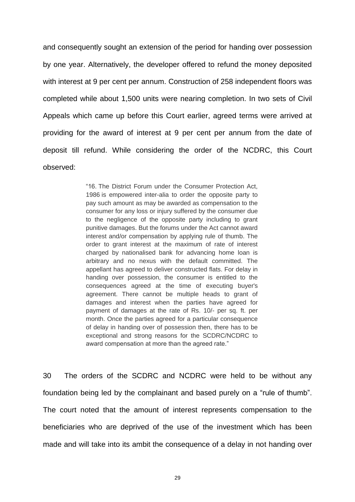and consequently sought an extension of the period for handing over possession by one year. Alternatively, the developer offered to refund the money deposited with interest at 9 per cent per annum. Construction of 258 independent floors was completed while about 1,500 units were nearing completion. In two sets of Civil Appeals which came up before this Court earlier, agreed terms were arrived at providing for the award of interest at 9 per cent per annum from the date of deposit till refund. While considering the order of the NCDRC, this Court observed:

> "16. The District Forum under the Consumer Protection Act, 1986 is empowered inter-alia to order the opposite party to pay such amount as may be awarded as compensation to the consumer for any loss or injury suffered by the consumer due to the negligence of the opposite party including to grant punitive damages. But the forums under the Act cannot award interest and/or compensation by applying rule of thumb. The order to grant interest at the maximum of rate of interest charged by nationalised bank for advancing home loan is arbitrary and no nexus with the default committed. The appellant has agreed to deliver constructed flats. For delay in handing over possession, the consumer is entitled to the consequences agreed at the time of executing buyer's agreement. There cannot be multiple heads to grant of damages and interest when the parties have agreed for payment of damages at the rate of Rs. 10/- per sq. ft. per month. Once the parties agreed for a particular consequence of delay in handing over of possession then, there has to be exceptional and strong reasons for the SCDRC/NCDRC to award compensation at more than the agreed rate."

30 The orders of the SCDRC and NCDRC were held to be without any foundation being led by the complainant and based purely on a "rule of thumb". The court noted that the amount of interest represents compensation to the beneficiaries who are deprived of the use of the investment which has been made and will take into its ambit the consequence of a delay in not handing over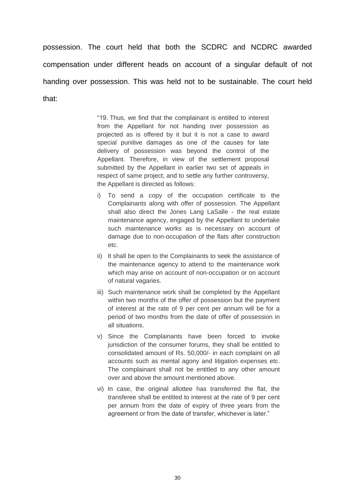possession. The court held that both the SCDRC and NCDRC awarded compensation under different heads on account of a singular default of not handing over possession. This was held not to be sustainable. The court held that:

> "19. Thus, we find that the complainant is entitled to interest from the Appellant for not handing over possession as projected as is offered by it but it is not a case to award special punitive damages as one of the causes for late delivery of possession was beyond the control of the Appellant. Therefore, in view of the settlement proposal submitted by the Appellant in earlier two set of appeals in respect of same project, and to settle any further controversy, the Appellant is directed as follows:

- i) To send a copy of the occupation certificate to the Complainants along with offer of possession. The Appellant shall also direct the Jones Lang LaSalle - the real estate maintenance agency, engaged by the Appellant to undertake such maintenance works as is necessary on account of damage due to non-occupation of the flats after construction etc.
- ii) It shall be open to the Complainants to seek the assistance of the maintenance agency to attend to the maintenance work which may arise on account of non-occupation or on account of natural vagaries.
- iii) Such maintenance work shall be completed by the Appellant within two months of the offer of possession but the payment of interest at the rate of 9 per cent per annum will be for a period of two months from the date of offer of possession in all situations.
- v) Since the Complainants have been forced to invoke jurisdiction of the consumer forums, they shall be entitled to consolidated amount of Rs. 50,000/- in each complaint on all accounts such as mental agony and litigation expenses etc. The complainant shall not be entitled to any other amount over and above the amount mentioned above.
- vi) In case, the original allottee has transferred the flat, the transferee shall be entitled to interest at the rate of 9 per cent per annum from the date of expiry of three years from the agreement or from the date of transfer, whichever is later."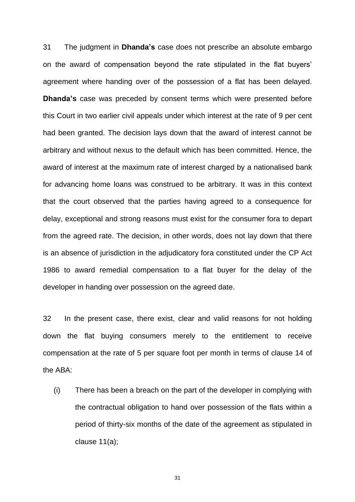31 The judgment in **Dhanda's** case does not prescribe an absolute embargo on the award of compensation beyond the rate stipulated in the flat buyers" agreement where handing over of the possession of a flat has been delayed. **Dhanda's** case was preceded by consent terms which were presented before this Court in two earlier civil appeals under which interest at the rate of 9 per cent had been granted. The decision lays down that the award of interest cannot be arbitrary and without nexus to the default which has been committed. Hence, the award of interest at the maximum rate of interest charged by a nationalised bank for advancing home loans was construed to be arbitrary. It was in this context that the court observed that the parties having agreed to a consequence for delay, exceptional and strong reasons must exist for the consumer fora to depart from the agreed rate. The decision, in other words, does not lay down that there is an absence of jurisdiction in the adjudicatory fora constituted under the CP Act 1986 to award remedial compensation to a flat buyer for the delay of the developer in handing over possession on the agreed date.

32 In the present case, there exist, clear and valid reasons for not holding down the flat buying consumers merely to the entitlement to receive compensation at the rate of 5 per square foot per month in terms of clause 14 of the ABA:

(i) There has been a breach on the part of the developer in complying with the contractual obligation to hand over possession of the flats within a period of thirty-six months of the date of the agreement as stipulated in clause 11(a);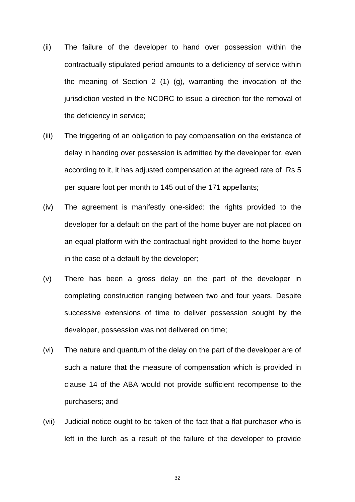- (ii) The failure of the developer to hand over possession within the contractually stipulated period amounts to a deficiency of service within the meaning of Section 2 (1) (g), warranting the invocation of the jurisdiction vested in the NCDRC to issue a direction for the removal of the deficiency in service;
- (iii) The triggering of an obligation to pay compensation on the existence of delay in handing over possession is admitted by the developer for, even according to it, it has adjusted compensation at the agreed rate of Rs 5 per square foot per month to 145 out of the 171 appellants;
- (iv) The agreement is manifestly one-sided: the rights provided to the developer for a default on the part of the home buyer are not placed on an equal platform with the contractual right provided to the home buyer in the case of a default by the developer;
- (v) There has been a gross delay on the part of the developer in completing construction ranging between two and four years. Despite successive extensions of time to deliver possession sought by the developer, possession was not delivered on time;
- (vi) The nature and quantum of the delay on the part of the developer are of such a nature that the measure of compensation which is provided in clause 14 of the ABA would not provide sufficient recompense to the purchasers; and
- (vii) Judicial notice ought to be taken of the fact that a flat purchaser who is left in the lurch as a result of the failure of the developer to provide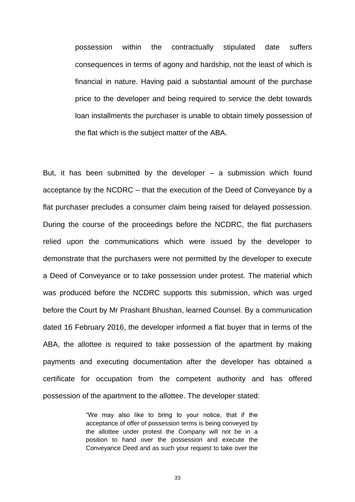possession within the contractually stipulated date suffers consequences in terms of agony and hardship, not the least of which is financial in nature. Having paid a substantial amount of the purchase price to the developer and being required to service the debt towards loan installments the purchaser is unable to obtain timely possession of the flat which is the subject matter of the ABA.

But, it has been submitted by the developer  $-$  a submission which found acceptance by the NCDRC – that the execution of the Deed of Conveyance by a flat purchaser precludes a consumer claim being raised for delayed possession. During the course of the proceedings before the NCDRC, the flat purchasers relied upon the communications which were issued by the developer to demonstrate that the purchasers were not permitted by the developer to execute a Deed of Conveyance or to take possession under protest. The material which was produced before the NCDRC supports this submission, which was urged before the Court by Mr Prashant Bhushan, learned Counsel. By a communication dated 16 February 2016, the developer informed a flat buyer that in terms of the ABA, the allottee is required to take possession of the apartment by making payments and executing documentation after the developer has obtained a certificate for occupation from the competent authority and has offered possession of the apartment to the allottee. The developer stated:

> "We may also like to bring to your notice, that if the acceptance of offer of possession terms is being conveyed by the allottee under protest the Company will not be in a position to hand over the possession and execute the Conveyance Deed and as such your request to take over the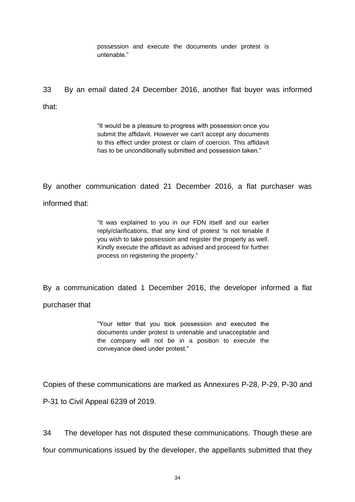possession and execute the documents under protest is untenable."

33 By an email dated 24 December 2016, another flat buyer was informed that:

> "It would be a pleasure to progress with possession once you submit the affidavit. However we can't accept any documents to this effect under protest or claim of coercion. This affidavit has to be unconditionally submitted and possession taken."

By another communication dated 21 December 2016, a flat purchaser was informed that:

> "It was explained to you in our FDN itself and our earlier reply/clarifications, that any kind of protest 'is not tenable if you wish to take possession and register the property as well. Kindly execute the affidavit as advised and proceed for further process on registering the property."

By a communication dated 1 December 2016, the developer informed a flat

purchaser that

"Your letter that you took possession and executed the documents under protest is untenable and unacceptable and the company will not be in a position to execute the conveyance deed under protest."

Copies of these communications are marked as Annexures P-28, P-29, P-30 and

P-31 to Civil Appeal 6239 of 2019.

34 The developer has not disputed these communications. Though these are four communications issued by the developer, the appellants submitted that they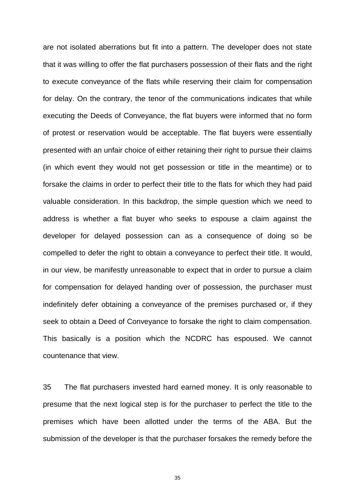are not isolated aberrations but fit into a pattern. The developer does not state that it was willing to offer the flat purchasers possession of their flats and the right to execute conveyance of the flats while reserving their claim for compensation for delay. On the contrary, the tenor of the communications indicates that while executing the Deeds of Conveyance, the flat buyers were informed that no form of protest or reservation would be acceptable. The flat buyers were essentially presented with an unfair choice of either retaining their right to pursue their claims (in which event they would not get possession or title in the meantime) or to forsake the claims in order to perfect their title to the flats for which they had paid valuable consideration. In this backdrop, the simple question which we need to address is whether a flat buyer who seeks to espouse a claim against the developer for delayed possession can as a consequence of doing so be compelled to defer the right to obtain a conveyance to perfect their title. It would, in our view, be manifestly unreasonable to expect that in order to pursue a claim for compensation for delayed handing over of possession, the purchaser must indefinitely defer obtaining a conveyance of the premises purchased or, if they seek to obtain a Deed of Conveyance to forsake the right to claim compensation. This basically is a position which the NCDRC has espoused. We cannot countenance that view.

35 The flat purchasers invested hard earned money. It is only reasonable to presume that the next logical step is for the purchaser to perfect the title to the premises which have been allotted under the terms of the ABA. But the submission of the developer is that the purchaser forsakes the remedy before the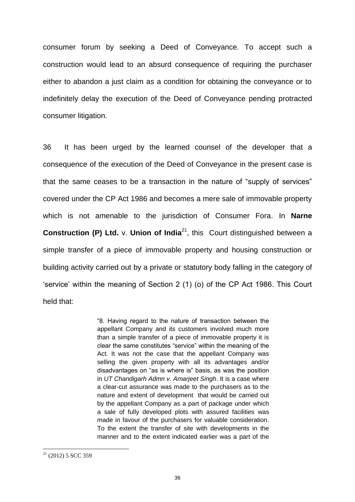consumer forum by seeking a Deed of Conveyance. To accept such a construction would lead to an absurd consequence of requiring the purchaser either to abandon a just claim as a condition for obtaining the conveyance or to indefinitely delay the execution of the Deed of Conveyance pending protracted consumer litigation.

36 It has been urged by the learned counsel of the developer that a consequence of the execution of the Deed of Conveyance in the present case is that the same ceases to be a transaction in the nature of "supply of services" covered under the CP Act 1986 and becomes a mere sale of immovable property which is not amenable to the jurisdiction of Consumer Fora. In **Narne Construction (P) Ltd.** v. Union of India<sup>21</sup>, this Court distinguished between a simple transfer of a piece of immovable property and housing construction or building activity carried out by a private or statutory body falling in the category of "service" within the meaning of Section 2 (1) (o) of the CP Act 1986. This Court held that:

> "8. Having regard to the nature of transaction between the appellant Company and its customers involved much more than a simple transfer of a piece of immovable property it is clear the same constitutes "service" within the meaning of the Act. It was not the case that the appellant Company was selling the given property with all its advantages and/or disadvantages on "as is where is" basis, as was the position in *UT Chandigarh Admn v. Amarjeet Singh*. It is a case where a clear-cut assurance was made to the purchasers as to the nature and extent of development that would be carried out by the appellant Company as a part of package under which a sale of fully developed plots with assured facilities was made in favour of the purchasers for valuable consideration. To the extent the transfer of site with developments in the manner and to the extent indicated earlier was a part of the

 $\overline{a}$ 

 $21$  (2012) 5 SCC 359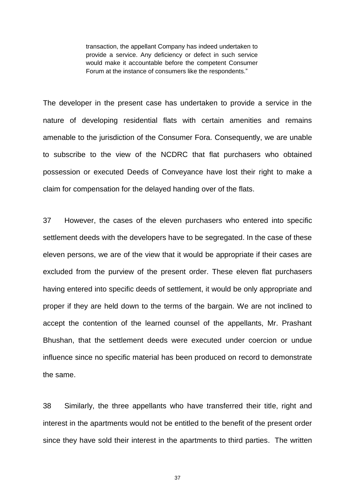transaction, the appellant Company has indeed undertaken to provide a service. Any deficiency or defect in such service would make it accountable before the competent Consumer Forum at the instance of consumers like the respondents."

The developer in the present case has undertaken to provide a service in the nature of developing residential flats with certain amenities and remains amenable to the jurisdiction of the Consumer Fora. Consequently, we are unable to subscribe to the view of the NCDRC that flat purchasers who obtained possession or executed Deeds of Conveyance have lost their right to make a claim for compensation for the delayed handing over of the flats.

37 However, the cases of the eleven purchasers who entered into specific settlement deeds with the developers have to be segregated. In the case of these eleven persons, we are of the view that it would be appropriate if their cases are excluded from the purview of the present order. These eleven flat purchasers having entered into specific deeds of settlement, it would be only appropriate and proper if they are held down to the terms of the bargain. We are not inclined to accept the contention of the learned counsel of the appellants, Mr. Prashant Bhushan, that the settlement deeds were executed under coercion or undue influence since no specific material has been produced on record to demonstrate the same.

38 Similarly, the three appellants who have transferred their title, right and interest in the apartments would not be entitled to the benefit of the present order since they have sold their interest in the apartments to third parties. The written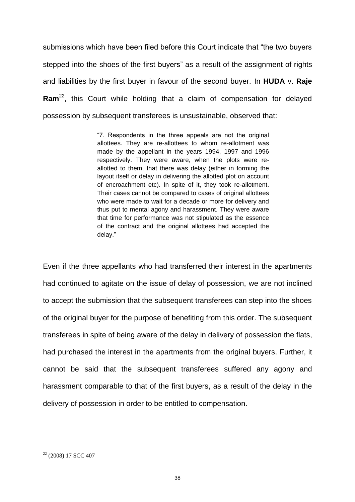submissions which have been filed before this Court indicate that "the two buyers stepped into the shoes of the first buyers" as a result of the assignment of rights and liabilities by the first buyer in favour of the second buyer. In **HUDA** v. **Raje**  Ram<sup>22</sup>, this Court while holding that a claim of compensation for delayed possession by subsequent transferees is unsustainable, observed that:

> "7. Respondents in the three appeals are not the original allottees. They are re-allottees to whom re-allotment was made by the appellant in the years 1994, 1997 and 1996 respectively. They were aware, when the plots were reallotted to them, that there was delay (either in forming the layout itself or delay in delivering the allotted plot on account of encroachment etc). In spite of it, they took re-allotment. Their cases cannot be compared to cases of original allottees who were made to wait for a decade or more for delivery and thus put to mental agony and harassment. They were aware that time for performance was not stipulated as the essence of the contract and the original allottees had accepted the delay."

Even if the three appellants who had transferred their interest in the apartments had continued to agitate on the issue of delay of possession, we are not inclined to accept the submission that the subsequent transferees can step into the shoes of the original buyer for the purpose of benefiting from this order. The subsequent transferees in spite of being aware of the delay in delivery of possession the flats, had purchased the interest in the apartments from the original buyers. Further, it cannot be said that the subsequent transferees suffered any agony and harassment comparable to that of the first buyers, as a result of the delay in the delivery of possession in order to be entitled to compensation.

 $\overline{a}$ 

 $22$  (2008) 17 SCC 407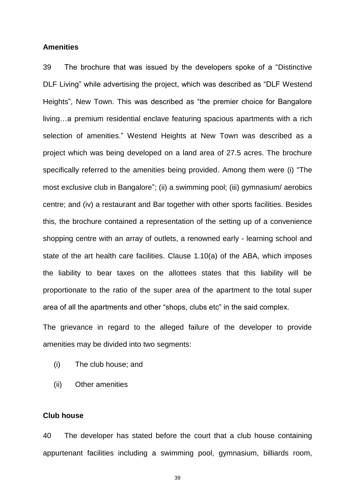#### **Amenities**

39 The brochure that was issued by the developers spoke of a "Distinctive DLF Living" while advertising the project, which was described as "DLF Westend Heights", New Town. This was described as "the premier choice for Bangalore living…a premium residential enclave featuring spacious apartments with a rich selection of amenities." Westend Heights at New Town was described as a project which was being developed on a land area of 27.5 acres. The brochure specifically referred to the amenities being provided. Among them were (i) "The most exclusive club in Bangalore"; (ii) a swimming pool; (iii) gymnasium/ aerobics centre; and (iv) a restaurant and Bar together with other sports facilities. Besides this, the brochure contained a representation of the setting up of a convenience shopping centre with an array of outlets, a renowned early - learning school and state of the art health care facilities. Clause 1.10(a) of the ABA, which imposes the liability to bear taxes on the allottees states that this liability will be proportionate to the ratio of the super area of the apartment to the total super area of all the apartments and other "shops, clubs etc" in the said complex.

The grievance in regard to the alleged failure of the developer to provide amenities may be divided into two segments:

- (i) The club house; and
- (ii) Other amenities

### **Club house**

40 The developer has stated before the court that a club house containing appurtenant facilities including a swimming pool, gymnasium, billiards room,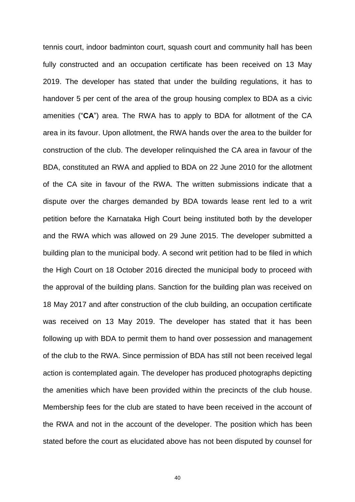tennis court, indoor badminton court, squash court and community hall has been fully constructed and an occupation certificate has been received on 13 May 2019. The developer has stated that under the building regulations, it has to handover 5 per cent of the area of the group housing complex to BDA as a civic amenities ("**CA**") area. The RWA has to apply to BDA for allotment of the CA area in its favour. Upon allotment, the RWA hands over the area to the builder for construction of the club. The developer relinquished the CA area in favour of the BDA, constituted an RWA and applied to BDA on 22 June 2010 for the allotment of the CA site in favour of the RWA. The written submissions indicate that a dispute over the charges demanded by BDA towards lease rent led to a writ petition before the Karnataka High Court being instituted both by the developer and the RWA which was allowed on 29 June 2015. The developer submitted a building plan to the municipal body. A second writ petition had to be filed in which the High Court on 18 October 2016 directed the municipal body to proceed with the approval of the building plans. Sanction for the building plan was received on 18 May 2017 and after construction of the club building, an occupation certificate was received on 13 May 2019. The developer has stated that it has been following up with BDA to permit them to hand over possession and management of the club to the RWA. Since permission of BDA has still not been received legal action is contemplated again. The developer has produced photographs depicting the amenities which have been provided within the precincts of the club house. Membership fees for the club are stated to have been received in the account of the RWA and not in the account of the developer. The position which has been stated before the court as elucidated above has not been disputed by counsel for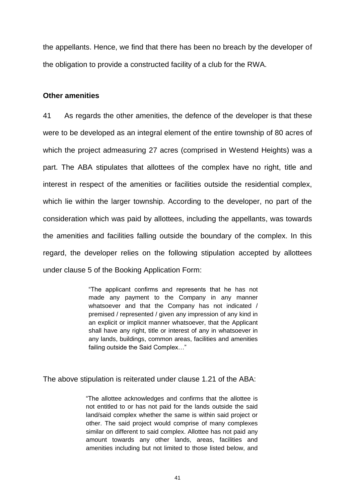the appellants. Hence, we find that there has been no breach by the developer of the obligation to provide a constructed facility of a club for the RWA.

### **Other amenities**

41 As regards the other amenities, the defence of the developer is that these were to be developed as an integral element of the entire township of 80 acres of which the project admeasuring 27 acres (comprised in Westend Heights) was a part. The ABA stipulates that allottees of the complex have no right, title and interest in respect of the amenities or facilities outside the residential complex, which lie within the larger township. According to the developer, no part of the consideration which was paid by allottees, including the appellants, was towards the amenities and facilities falling outside the boundary of the complex. In this regard, the developer relies on the following stipulation accepted by allottees under clause 5 of the Booking Application Form:

> "The applicant confirms and represents that he has not made any payment to the Company in any manner whatsoever and that the Company has not indicated / premised / represented / given any impression of any kind in an explicit or implicit manner whatsoever, that the Applicant shall have any right, title or interest of any in whatsoever in any lands, buildings, common areas, facilities and amenities failing outside the Said Complex…"

The above stipulation is reiterated under clause 1.21 of the ABA:

"The allottee acknowledges and confirms that the allottee is not entitled to or has not paid for the lands outside the said land/said complex whether the same is within said project or other. The said project would comprise of many complexes similar on different to said complex. Allottee has not paid any amount towards any other lands, areas, facilities and amenities including but not limited to those listed below, and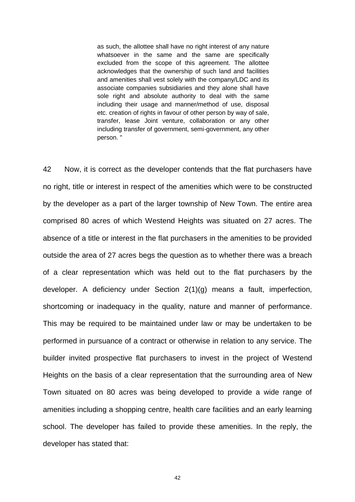as such, the allottee shall have no right interest of any nature whatsoever in the same and the same are specifically excluded from the scope of this agreement. The allottee acknowledges that the ownership of such land and facilities and amenities shall vest solely with the company/LDC and its associate companies subsidiaries and they alone shall have sole right and absolute authority to deal with the same including their usage and manner/method of use, disposal etc. creation of rights in favour of other person by way of sale, transfer, lease Joint venture, collaboration or any other including transfer of government, semi-government, any other person. "

42 Now, it is correct as the developer contends that the flat purchasers have no right, title or interest in respect of the amenities which were to be constructed by the developer as a part of the larger township of New Town. The entire area comprised 80 acres of which Westend Heights was situated on 27 acres. The absence of a title or interest in the flat purchasers in the amenities to be provided outside the area of 27 acres begs the question as to whether there was a breach of a clear representation which was held out to the flat purchasers by the developer. A deficiency under Section 2(1)(g) means a fault, imperfection, shortcoming or inadequacy in the quality, nature and manner of performance. This may be required to be maintained under law or may be undertaken to be performed in pursuance of a contract or otherwise in relation to any service. The builder invited prospective flat purchasers to invest in the project of Westend Heights on the basis of a clear representation that the surrounding area of New Town situated on 80 acres was being developed to provide a wide range of amenities including a shopping centre, health care facilities and an early learning school. The developer has failed to provide these amenities. In the reply, the developer has stated that: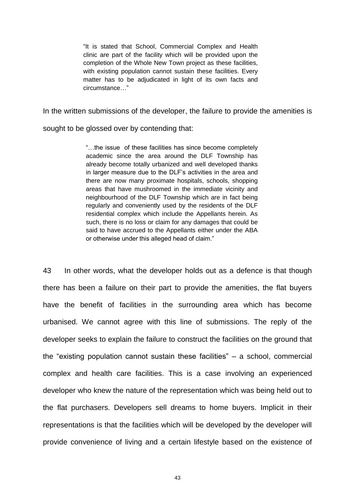"It is stated that School, Commercial Complex and Health clinic are part of the facility which will be provided upon the completion of the Whole New Town project as these facilities, with existing population cannot sustain these facilities. Every matter has to be adjudicated in light of its own facts and circumstance…"

In the written submissions of the developer, the failure to provide the amenities is

sought to be glossed over by contending that:

"…the issue of these facilities has since become completely academic since the area around the DLF Township has already become totally urbanized and well developed thanks in larger measure due to the DLF"s activities in the area and there are now many proximate hospitals, schools, shopping areas that have mushroomed in the immediate vicinity and neighbourhood of the DLF Township which are in fact being regularly and conveniently used by the residents of the DLF residential complex which include the Appellants herein. As such, there is no loss or claim for any damages that could be said to have accrued to the Appellants either under the ABA or otherwise under this alleged head of claim."

43 In other words, what the developer holds out as a defence is that though there has been a failure on their part to provide the amenities, the flat buyers have the benefit of facilities in the surrounding area which has become urbanised. We cannot agree with this line of submissions. The reply of the developer seeks to explain the failure to construct the facilities on the ground that the "existing population cannot sustain these facilities" – a school, commercial complex and health care facilities. This is a case involving an experienced developer who knew the nature of the representation which was being held out to the flat purchasers. Developers sell dreams to home buyers. Implicit in their representations is that the facilities which will be developed by the developer will provide convenience of living and a certain lifestyle based on the existence of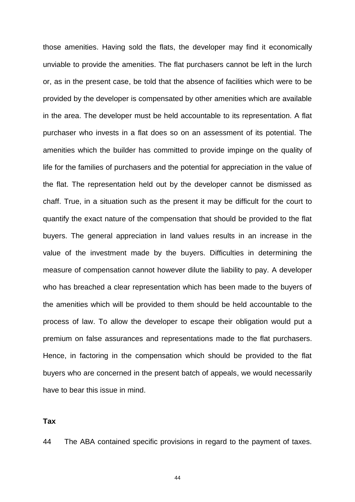those amenities. Having sold the flats, the developer may find it economically unviable to provide the amenities. The flat purchasers cannot be left in the lurch or, as in the present case, be told that the absence of facilities which were to be provided by the developer is compensated by other amenities which are available in the area. The developer must be held accountable to its representation. A flat purchaser who invests in a flat does so on an assessment of its potential. The amenities which the builder has committed to provide impinge on the quality of life for the families of purchasers and the potential for appreciation in the value of the flat. The representation held out by the developer cannot be dismissed as chaff. True, in a situation such as the present it may be difficult for the court to quantify the exact nature of the compensation that should be provided to the flat buyers. The general appreciation in land values results in an increase in the value of the investment made by the buyers. Difficulties in determining the measure of compensation cannot however dilute the liability to pay. A developer who has breached a clear representation which has been made to the buyers of the amenities which will be provided to them should be held accountable to the process of law. To allow the developer to escape their obligation would put a premium on false assurances and representations made to the flat purchasers. Hence, in factoring in the compensation which should be provided to the flat buyers who are concerned in the present batch of appeals, we would necessarily have to bear this issue in mind.

**Tax**

44 The ABA contained specific provisions in regard to the payment of taxes.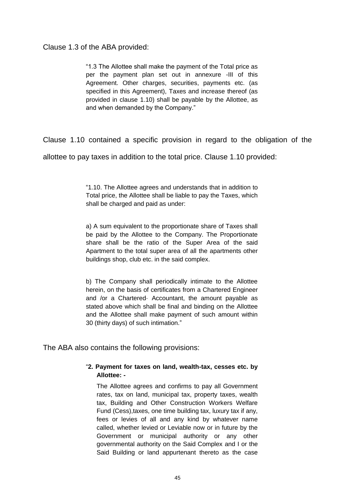Clause 1.3 of the ABA provided:

"1.3 The Allottee shall make the payment of the Total price as per the payment plan set out in annexure -III of this Agreement. Other charges, securities, payments etc. (as specified in this Agreement), Taxes and increase thereof (as provided in clause 1.10) shall be payable by the Allottee, as and when demanded by the Company."

Clause 1.10 contained a specific provision in regard to the obligation of the

allottee to pay taxes in addition to the total price. Clause 1.10 provided:

"1.10. The Allottee agrees and understands that in addition to Total price, the Allottee shall be liable to pay the Taxes, which shall be charged and paid as under:

a) A sum equivalent to the proportionate share of Taxes shall be paid by the Allottee to the Company. The Proportionate share shall be the ratio of the Super Area of the said Apartment to the total super area of all the apartments other buildings shop, club etc. in the said complex.

b) The Company shall periodically intimate to the Allottee herein, on the basis of certificates from a Chartered Engineer and /or a Chartered· Accountant, the amount payable as stated above which shall be final and binding on the Allottee and the Allottee shall make payment of such amount within 30 (thirty days) of such intimation."

The ABA also contains the following provisions:

#### "**2. Payment for taxes on land, wealth-tax, cesses etc. by Allottee: -**

The Allottee agrees and confirms to pay all Government rates, tax on land, municipal tax, property taxes, wealth tax, Building and Other Construction Workers Welfare Fund (Cess),taxes, one time building tax, luxury tax if any, fees or levies of all and any kind by whatever name called, whether levied or Leviable now or in future by the Government or municipal authority or any other governmental authority on the Said Complex and I or the Said Building or land appurtenant thereto as the case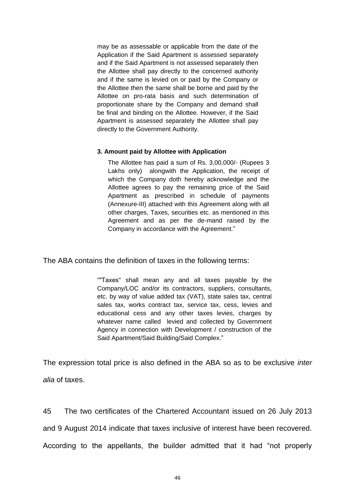may be as assessable or applicable from the date of the Application if the Said Apartment is assessed separately and if the Said Apartment is not assessed separately then the Allottee shall pay directly to the concerned authority and if the same is levied on or paid by the Company or the Allottee then the same shall be borne and paid by the Allottee on pro-rata basis and such determination of proportionate share by the Company and demand shall be final and binding on the Allottee. However, if the Said Apartment is assessed separately the Allottee shall pay directly to the Government Authority.

#### **3. Amount paid by Allottee with Application**

The Allottee has paid a sum of Rs. 3,00,000/- (Rupees 3 Lakhs only) alongwith the Application, the receipt of which the Company doth hereby acknowledge and the Allottee agrees to pay the remaining price of the Said Apartment as prescribed in schedule of payments (Annexure-III) attached with this Agreement along with all other charges, Taxes, securities etc. as mentioned in this Agreement and as per the de-mand raised by the Company in accordance with the Agreement."

The ABA contains the definition of taxes in the following terms:

""Taxes" shall mean any and all taxes payable by the Company/LOC and/or its contractors, suppliers, consultants, etc. by way of value added tax (VAT), state sales tax, central sales tax, works contract tax, service tax, cess, levies and educational cess and any other taxes levies, charges by whatever name called levied and collected by Government Agency in connection with Development / construction of the Said Apartment/Said Building/Said Complex."

The expression total price is also defined in the ABA so as to be exclusive *inter alia* of taxes.

45 The two certificates of the Chartered Accountant issued on 26 July 2013 and 9 August 2014 indicate that taxes inclusive of interest have been recovered. According to the appellants, the builder admitted that it had "not properly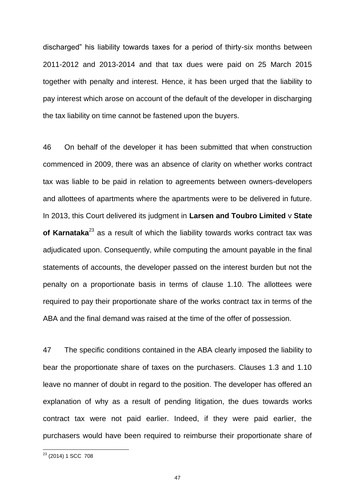discharged" his liability towards taxes for a period of thirty-six months between 2011-2012 and 2013-2014 and that tax dues were paid on 25 March 2015 together with penalty and interest. Hence, it has been urged that the liability to pay interest which arose on account of the default of the developer in discharging the tax liability on time cannot be fastened upon the buyers.

46 On behalf of the developer it has been submitted that when construction commenced in 2009, there was an absence of clarity on whether works contract tax was liable to be paid in relation to agreements between owners-developers and allottees of apartments where the apartments were to be delivered in future. In 2013, this Court delivered its judgment in **Larsen and Toubro Limited** v **State of Karnataka**<sup>23</sup> as a result of which the liability towards works contract tax was adjudicated upon. Consequently, while computing the amount payable in the final statements of accounts, the developer passed on the interest burden but not the penalty on a proportionate basis in terms of clause 1.10. The allottees were required to pay their proportionate share of the works contract tax in terms of the ABA and the final demand was raised at the time of the offer of possession.

47 The specific conditions contained in the ABA clearly imposed the liability to bear the proportionate share of taxes on the purchasers. Clauses 1.3 and 1.10 leave no manner of doubt in regard to the position. The developer has offered an explanation of why as a result of pending litigation, the dues towards works contract tax were not paid earlier. Indeed, if they were paid earlier, the purchasers would have been required to reimburse their proportionate share of

 $\overline{a}$ 

<sup>&</sup>lt;sup>23</sup> (2014) 1 SCC 708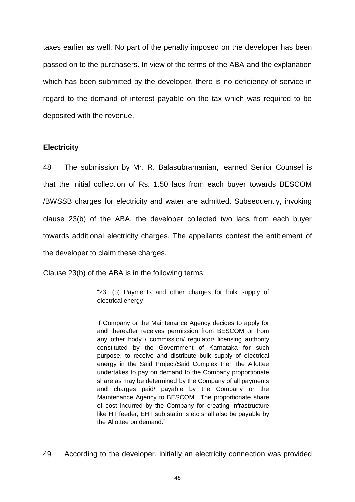taxes earlier as well. No part of the penalty imposed on the developer has been passed on to the purchasers. In view of the terms of the ABA and the explanation which has been submitted by the developer, there is no deficiency of service in regard to the demand of interest payable on the tax which was required to be deposited with the revenue.

### **Electricity**

48 The submission by Mr. R. Balasubramanian, learned Senior Counsel is that the initial collection of Rs. 1.50 lacs from each buyer towards BESCOM /BWSSB charges for electricity and water are admitted. Subsequently, invoking clause 23(b) of the ABA, the developer collected two lacs from each buyer towards additional electricity charges. The appellants contest the entitlement of the developer to claim these charges.

Clause 23(b) of the ABA is in the following terms:

"23. (b) Payments and other charges for bulk supply of electrical energy

If Company or the Maintenance Agency decides to apply for and thereafter receives permission from BESCOM or from any other body / commission/ regulator/ licensing authority constituted by the Government of Karnataka for such purpose, to receive and distribute bulk supply of electrical energy in the Said Project/Said Complex then the Allottee undertakes to pay on demand to the Company proportionate share as may be determined by the Company of all payments and charges paid/ payable by the Company or the Maintenance Agency to BESCOM…The proportionate share of cost incurred by the Company for creating infrastructure like HT feeder, EHT sub stations etc shall also be payable by the Allottee on demand."

49 According to the developer, initially an electricity connection was provided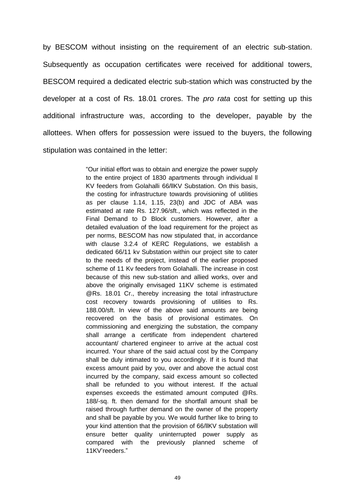by BESCOM without insisting on the requirement of an electric sub-station. Subsequently as occupation certificates were received for additional towers, BESCOM required a dedicated electric sub-station which was constructed by the developer at a cost of Rs. 18.01 crores. The *pro rata* cost for setting up this additional infrastructure was, according to the developer, payable by the allottees. When offers for possession were issued to the buyers, the following stipulation was contained in the letter:

> "Our initial effort was to obtain and energize the power supply to the entire project of 1830 apartments through individual ll KV feeders from Golahalli 66/llKV Substation. On this basis, the costing for infrastructure towards provisioning of utilities as per clause 1.14, 1.15, 23(b) and JDC of ABA was estimated at rate Rs. 127.96/sft., which was reflected in the Final Demand to D Block customers. However, after a detailed evaluation of the load requirement for the project as per norms, BESCOM has now stipulated that, in accordance with clause 3.2.4 of KERC Regulations, we establish a dedicated 66/11 kv Substation within our project site to cater to the needs of the project, instead of the earlier proposed scheme of 11 Kv feeders from Golahalli. The increase in cost because of this new sub-station and allied works, over and above the originally envisaged 11KV scheme is estimated @Rs. 18.01 Cr., thereby increasing the total infrastructure cost recovery towards provisioning of utilities to Rs. 188.00/sft. In view of the above said amounts are being recovered on the basis of provisional estimates. On commissioning and energizing the substation, the company shall arrange a certificate from independent chartered accountant/ chartered engineer to arrive at the actual cost incurred. Your share of the said actual cost by the Company shall be duly intimated to you accordingly. If it is found that excess amount paid by you, over and above the actual cost incurred by the company, said excess amount so collected shall be refunded to you without interest. If the actual expenses exceeds the estimated amount computed @Rs. 188/-sq. ft. then demand for the shortfall amount shall be raised through further demand on the owner of the property and shall be payable by you. We would further like to bring to your kind attention that the provision of 66/llKV substation will ensure better quality uninterrupted power supply as compared with the previously planned scheme of 11KV"reeders."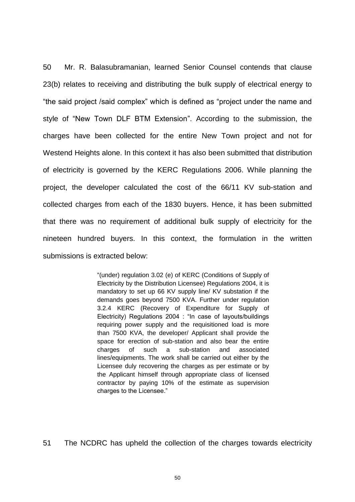50 Mr. R. Balasubramanian, learned Senior Counsel contends that clause 23(b) relates to receiving and distributing the bulk supply of electrical energy to "the said project /said complex" which is defined as "project under the name and style of "New Town DLF BTM Extension". According to the submission, the charges have been collected for the entire New Town project and not for Westend Heights alone. In this context it has also been submitted that distribution of electricity is governed by the KERC Regulations 2006. While planning the project, the developer calculated the cost of the 66/11 KV sub-station and collected charges from each of the 1830 buyers. Hence, it has been submitted that there was no requirement of additional bulk supply of electricity for the nineteen hundred buyers. In this context, the formulation in the written submissions is extracted below:

> "(under) regulation 3.02 (e) of KERC (Conditions of Supply of Electricity by the Distribution Licensee) Regulations 2004, it is mandatory to set up 66 KV supply line/ KV substation if the demands goes beyond 7500 KVA. Further under regulation 3.2.4 KERC (Recovery of Expenditure for Supply of Electricity) Regulations 2004 : "In case of layouts/buildings requiring power supply and the requisitioned load is more than 7500 KVA, the developer/ Applicant shall provide the space for erection of sub-station and also bear the entire charges of such a sub-station and associated lines/equipments. The work shall be carried out either by the Licensee duly recovering the charges as per estimate or by the Applicant himself through appropriate class of licensed contractor by paying 10% of the estimate as supervision charges to the Licensee."

51 The NCDRC has upheld the collection of the charges towards electricity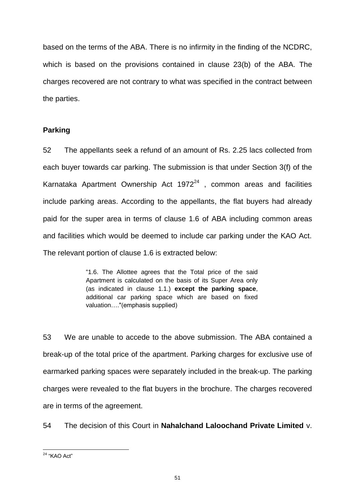based on the terms of the ABA. There is no infirmity in the finding of the NCDRC, which is based on the provisions contained in clause 23(b) of the ABA. The charges recovered are not contrary to what was specified in the contract between the parties.

## **Parking**

52 The appellants seek a refund of an amount of Rs. 2.25 lacs collected from each buyer towards car parking. The submission is that under Section 3(f) of the Karnataka Apartment Ownership Act  $1972^{24}$  , common areas and facilities include parking areas. According to the appellants, the flat buyers had already paid for the super area in terms of clause 1.6 of ABA including common areas and facilities which would be deemed to include car parking under the KAO Act. The relevant portion of clause 1.6 is extracted below:

> "1.6. The Allottee agrees that the Total price of the said Apartment is calculated on the basis of its Super Area only (as indicated in clause 1.1.) **except the parking space**, additional car parking space which are based on fixed valuation…."(emphasis supplied)

53 We are unable to accede to the above submission. The ABA contained a break-up of the total price of the apartment. Parking charges for exclusive use of earmarked parking spaces were separately included in the break-up. The parking charges were revealed to the flat buyers in the brochure. The charges recovered are in terms of the agreement.

54 The decision of this Court in **Nahalchand Laloochand Private Limited** v.

 $\overline{a}$ <sup>24</sup> "KAO Act"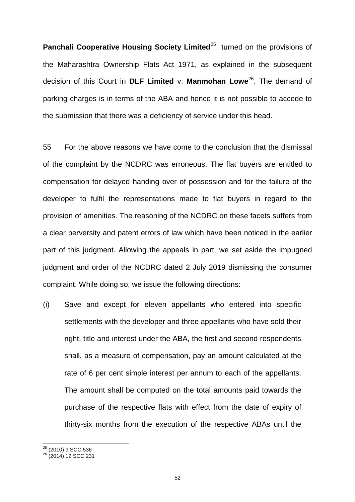**Panchali Cooperative Housing Society Limited**<sup>25</sup> turned on the provisions of the Maharashtra Ownership Flats Act 1971, as explained in the subsequent decision of this Court in **DLF Limited** v. **Manmohan Lowe**<sup>26</sup> . The demand of parking charges is in terms of the ABA and hence it is not possible to accede to the submission that there was a deficiency of service under this head.

55 For the above reasons we have come to the conclusion that the dismissal of the complaint by the NCDRC was erroneous. The flat buyers are entitled to compensation for delayed handing over of possession and for the failure of the developer to fulfil the representations made to flat buyers in regard to the provision of amenities. The reasoning of the NCDRC on these facets suffers from a clear perversity and patent errors of law which have been noticed in the earlier part of this judgment. Allowing the appeals in part, we set aside the impugned judgment and order of the NCDRC dated 2 July 2019 dismissing the consumer complaint. While doing so, we issue the following directions:

(i) Save and except for eleven appellants who entered into specific settlements with the developer and three appellants who have sold their right, title and interest under the ABA, the first and second respondents shall, as a measure of compensation, pay an amount calculated at the rate of 6 per cent simple interest per annum to each of the appellants. The amount shall be computed on the total amounts paid towards the purchase of the respective flats with effect from the date of expiry of thirty-six months from the execution of the respective ABAs until the

 $\overline{a}$ 

 $25$  (2010) 9 SCC 536

<sup>&</sup>lt;sup>26</sup> (2014) 12 SCC 231